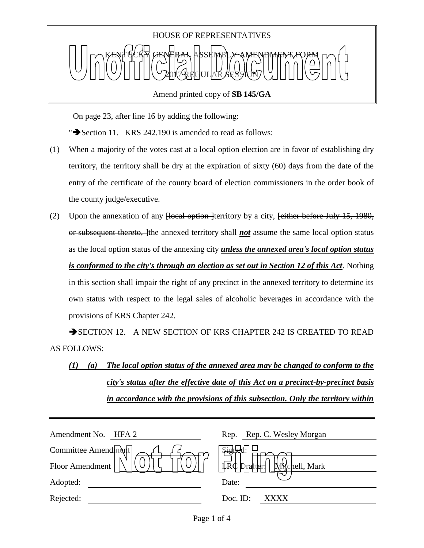

Amend printed copy of **SB 145/GA**

On page 23, after line 16 by adding the following:

" $\blacktriangleright$  Section 11. KRS 242.190 is amended to read as follows:

- (1) When a majority of the votes cast at a local option election are in favor of establishing dry territory, the territory shall be dry at the expiration of sixty (60) days from the date of the entry of the certificate of the county board of election commissioners in the order book of the county judge/executive.
- (2) Upon the annexation of any [local option ]territory by a city, [either before July 15, 1980, or subsequent thereto, ]the annexed territory shall *not* assume the same local option status as the local option status of the annexing city *unless the annexed area's local option status is conformed to the city's through an election as set out in Section 12 of this Act*. Nothing in this section shall impair the right of any precinct in the annexed territory to determine its own status with respect to the legal sales of alcoholic beverages in accordance with the provisions of KRS Chapter 242.

SECTION 12. A NEW SECTION OF KRS CHAPTER 242 IS CREATED TO READ AS FOLLOWS:

| (I) | (a) | The local option status of the annexed area may be changed to conform to the       |
|-----|-----|------------------------------------------------------------------------------------|
|     |     | city's status after the effective date of this Act on a precinct-by-precinct basis |
|     |     | in accordance with the provisions of this subsection. Only the territory within    |

| Amendment No.<br>HFA 2 | Rep. Rep. C. Wesley Morgan           |
|------------------------|--------------------------------------|
| Committee Amendment    |                                      |
| Floor Amendment        | $\Box$ RC Drafter:<br>Mitchell, Mark |
| Adopted:               | Date:                                |
| Rejected:              | Doc. ID:<br>XXXX.                    |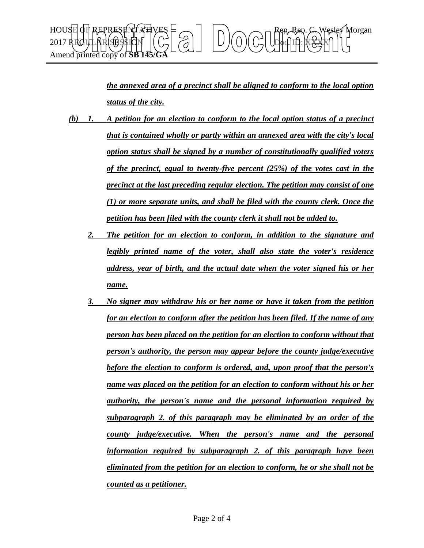

*the annexed area of a precinct shall be aligned to conform to the local option status of the city.* 

- *(b) 1. A petition for an election to conform to the local option status of a precinct that is contained wholly or partly within an annexed area with the city's local option status shall be signed by a number of constitutionally qualified voters of the precinct, equal to twenty-five percent (25%) of the votes cast in the precinct at the last preceding regular election. The petition may consist of one (1) or more separate units, and shall be filed with the county clerk. Once the petition has been filed with the county clerk it shall not be added to.*
	- *2. The petition for an election to conform, in addition to the signature and legibly printed name of the voter, shall also state the voter's residence address, year of birth, and the actual date when the voter signed his or her name.*
	- *3. No signer may withdraw his or her name or have it taken from the petition for an election to conform after the petition has been filed. If the name of any person has been placed on the petition for an election to conform without that person's authority, the person may appear before the county judge/executive before the election to conform is ordered, and, upon proof that the person's name was placed on the petition for an election to conform without his or her authority, the person's name and the personal information required by subparagraph 2. of this paragraph may be eliminated by an order of the county judge/executive. When the person's name and the personal information required by subparagraph 2. of this paragraph have been eliminated from the petition for an election to conform, he or she shall not be counted as a petitioner.*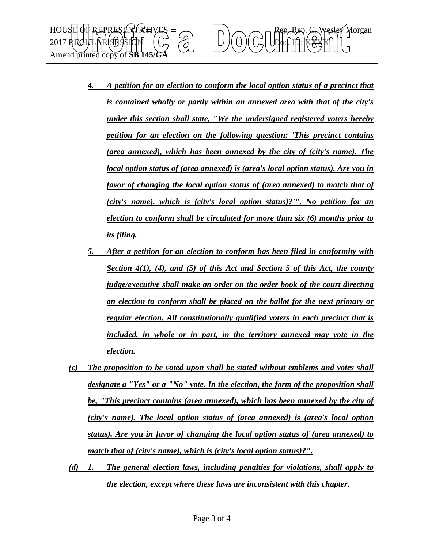

- *4. A petition for an election to conform the local option status of a precinct that is contained wholly or partly within an annexed area with that of the city's under this section shall state, "We the undersigned registered voters hereby petition for an election on the following question: 'This precinct contains (area annexed), which has been annexed by the city of (city's name). The local option status of (area annexed) is (area's local option status). Are you in favor of changing the local option status of (area annexed) to match that of (city's name), which is (city's local option status)?'". No petition for an election to conform shall be circulated for more than six (6) months prior to its filing.*
- *5. After a petition for an election to conform has been filed in conformity with Section 4(1), (4), and (5) of this Act and Section 5 of this Act, the county judge/executive shall make an order on the order book of the court directing an election to conform shall be placed on the ballot for the next primary or regular election. All constitutionally qualified voters in each precinct that is included, in whole or in part, in the territory annexed may vote in the election.*
- *(c) The proposition to be voted upon shall be stated without emblems and votes shall designate a "Yes" or a "No" vote. In the election, the form of the proposition shall be, "This precinct contains (area annexed), which has been annexed by the city of (city's name). The local option status of (area annexed) is (area's local option status). Are you in favor of changing the local option status of (area annexed) to match that of (city's name), which is (city's local option status)?".*
- *(d) 1. The general election laws, including penalties for violations, shall apply to the election, except where these laws are inconsistent with this chapter.*